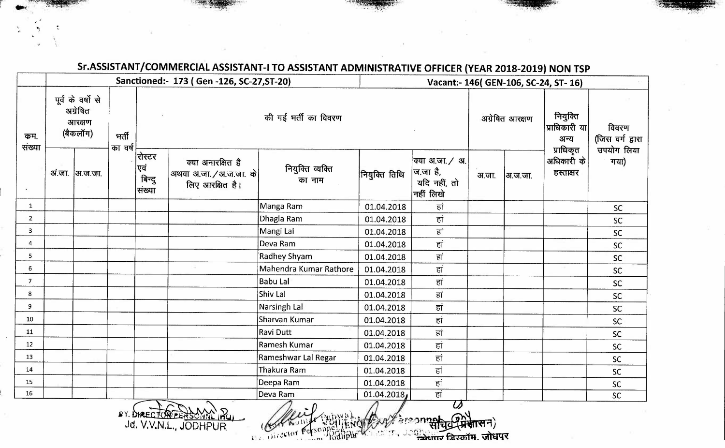|                |                                                     |                 |                  |                                   | Sanctioned:- 173 (Gen -126, SC-27, ST-20)                       |                            |               | Vacant:- 146( GEN-106, SC-24, ST-16)                     |                 |                                                 |                                         |           |
|----------------|-----------------------------------------------------|-----------------|------------------|-----------------------------------|-----------------------------------------------------------------|----------------------------|---------------|----------------------------------------------------------|-----------------|-------------------------------------------------|-----------------------------------------|-----------|
| कम.<br>संख्या  | पूर्व के वर्षो से<br>अग्रेषित<br>आरक्षण<br>(बैकलॉग) |                 | भर्ती<br>का वर्ष |                                   |                                                                 | की गई भर्ती का विवरण       |               |                                                          | अग्रेषित आरक्षण | नियुक्ति<br> प्राधिकारी या<br>अन्य<br>प्राधिकृत | विवरण<br>(जिस वर्ग द्वारा<br>उपयोग लिया |           |
|                |                                                     | अं.जा.  अ.ज.जा. |                  | रोस्टर<br>एवं<br>बिन्दु<br>संख्या | क्या अनारक्षित है<br>अथवा अ.जा. / अ.ज.जा. के<br>लिए आरक्षित है। | नियुक्ति व्यक्ति<br>का नाम | नियुक्ति तिथि | क्या अ.जा. / अ.<br>ज.जा है,<br>यदि नहीं, तो<br>नहीं लिखे | अ.जा.           | अ.ज.जा.                                         | अधिकारी के<br>हस्ताक्षर                 | गया)      |
| $\mathbf{1}$   |                                                     |                 |                  |                                   |                                                                 | Manga Ram                  | 01.04.2018    | हां                                                      |                 |                                                 |                                         | <b>SC</b> |
| $\overline{2}$ |                                                     |                 |                  |                                   |                                                                 | Dhagla Ram                 | 01.04.2018    | हां                                                      |                 |                                                 |                                         | SC        |
| $\mathbf{3}$   |                                                     |                 |                  |                                   |                                                                 | Mangi Lal                  | 01.04.2018    | हां                                                      |                 |                                                 |                                         | <b>SC</b> |
| 4              |                                                     |                 |                  |                                   |                                                                 | Deva Ram                   | 01.04.2018    | हां                                                      |                 |                                                 |                                         | <b>SC</b> |
| 5              |                                                     |                 |                  |                                   |                                                                 | Radhey Shyam               | 01.04.2018    | हां                                                      |                 |                                                 |                                         | <b>SC</b> |
| 6              |                                                     |                 |                  |                                   |                                                                 | Mahendra Kumar Rathore     | 01.04.2018    | हां                                                      |                 |                                                 |                                         | <b>SC</b> |
| $\overline{7}$ |                                                     |                 |                  |                                   |                                                                 | <b>Babu Lal</b>            | 01.04.2018    | हां                                                      |                 |                                                 |                                         | SC        |
| 8              |                                                     |                 |                  |                                   |                                                                 | Shiv Lal                   | 01.04.2018    | हां                                                      |                 |                                                 |                                         | SC        |
| $\overline{9}$ |                                                     |                 |                  |                                   |                                                                 | Narsingh Lal               | 01.04.2018    | हां                                                      |                 |                                                 |                                         | SC        |
| 10             |                                                     |                 |                  |                                   |                                                                 | <b>Sharvan Kumar</b>       | 01.04.2018    | हां                                                      |                 |                                                 |                                         | <b>SC</b> |
| 11             |                                                     |                 |                  |                                   |                                                                 | Ravi Dutt                  | 01.04.2018    | हां                                                      |                 |                                                 |                                         | <b>SC</b> |
| 12             |                                                     |                 |                  |                                   |                                                                 | Ramesh Kumar               | 01.04.2018    | हां                                                      |                 |                                                 |                                         | <b>SC</b> |
| 13             |                                                     |                 |                  |                                   |                                                                 | Rameshwar Lal Regar        | 01.04.2018    | हां                                                      |                 |                                                 |                                         | <b>SC</b> |
| 14             |                                                     |                 |                  |                                   |                                                                 | <b>Thakura Ram</b>         | 01.04.2018    | हां                                                      |                 |                                                 |                                         | SC        |
| 15             |                                                     |                 |                  |                                   |                                                                 | Deepa Ram                  | 01.04.2018    | हां                                                      |                 |                                                 |                                         | SC        |
| 16             |                                                     |                 |                  |                                   |                                                                 | Deva Ram                   | 01.04.2018    | हां                                                      |                 |                                                 |                                         | SC        |
|                |                                                     |                 |                  |                                   | 2Y. DIRECTORESSONALIAU                                          |                            |               | Ø<br>sreannot<br>क्रेशंतर विस्कॉम, जोधपुर                |                 |                                                 |                                         |           |

## **Sr.ASSISTANT/COMMERCIAL ASSISTANT-I TO ASSISTANT ADMINISTRATIVE OFFICER (YEAR 2018-2019) NON TSP**

 $\bullet$ ,  $\bullet$  ,  $\bullet$  ,  $\bullet$  ,  $\bullet$  ,  $\bullet$  ,  $\bullet$  ,  $\bullet$  ,  $\bullet$  ,  $\bullet$  ,  $\bullet$  ,  $\bullet$  ,  $\bullet$  ,  $\bullet$  ,  $\bullet$  ,  $\bullet$  ,  $\bullet$  ,  $\bullet$  ,  $\bullet$  ,  $\bullet$  ,  $\bullet$  ,  $\bullet$  ,  $\bullet$  ,  $\bullet$  ,  $\bullet$  ,  $\bullet$  ,  $\bullet$  ,  $\bullet$  ,  $\bullet$  ,  $\bullet$  ,  $\bullet$  ,  $\bullet$ 

**fiY** J **.**  d. V.V.N.L., JODHP **~L**  U **j** R

i'

11 . Director Fet . Jodffphr" . . . . . . . . . . . . . 20 22 . Tavan H. one Tel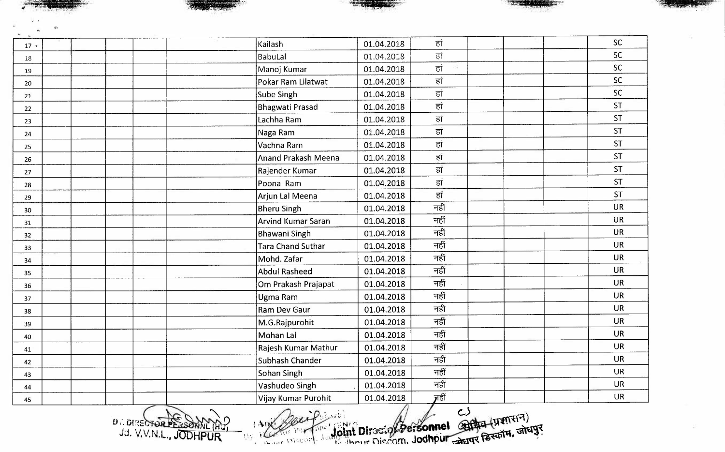| $\mathbf{A}$ . |                            |            |       |           |
|----------------|----------------------------|------------|-------|-----------|
| 17.1           | Kailash                    | 01.04.2018 | हां   | <b>SC</b> |
| $18\,$         | <b>BabuLal</b>             | 01.04.2018 | हां   | <b>SC</b> |
| 19             | Manoj Kumar                | 01.04.2018 | हां   | <b>SC</b> |
| 20             | Pokar Ram Lilatwat         | 01.04.2018 | हां   | <b>SC</b> |
| 21             | Sube Singh                 | 01.04.2018 | हां   | <b>SC</b> |
| 22             | <b>Bhagwati Prasad</b>     | 01.04.2018 | हां   | <b>ST</b> |
| 23             | Lachha Ram                 | 01.04.2018 | हां   | <b>ST</b> |
| 24             | Naga Ram                   | 01.04.2018 | हां   | <b>ST</b> |
| 25             | Vachna Ram                 | 01.04.2018 | हां   | <b>ST</b> |
| 26             | <b>Anand Prakash Meena</b> | 01.04.2018 | हां   | <b>ST</b> |
| 27             | Rajender Kumar             | 01.04.2018 | हां   | <b>ST</b> |
| 28             | Poona Ram                  | 01.04.2018 | हां   | <b>ST</b> |
| 29             | Arjun Lal Meena            | 01.04.2018 | हां   | <b>ST</b> |
| 30             | <b>Bheru Singh</b>         | 01.04.2018 | नहीं  | <b>UR</b> |
| 31             | <b>Arvind Kumar Saran</b>  | 01.04.2018 | नहीं  | <b>UR</b> |
| 32             | <b>Bhawani Singh</b>       | 01.04.2018 | नहीं  | <b>UR</b> |
| 33             | <b>Tara Chand Suthar</b>   | 01.04.2018 | नहीं  | <b>UR</b> |
| 34             | Mohd. Zafar                | 01.04.2018 | नहीं  | <b>UR</b> |
| 35             | <b>Abdul Rasheed</b>       | 01.04.2018 | नहीं  | <b>UR</b> |
| 36             | Om Prakash Prajapat        | 01.04.2018 | नहीं  | <b>UR</b> |
| 37             | Ugma Ram                   | 01.04.2018 | नहीं  | <b>UR</b> |
| 38             | <b>Ram Dev Gaur</b>        | 01.04.2018 | नहीं  | <b>UR</b> |
| 39             | M.G.Rajpurohit             | 01.04.2018 | नहीं  | <b>UR</b> |
| 40             | <b>Mohan Lal</b>           | 01.04.2018 | नहीं  | <b>UR</b> |
| 41             | Rajesh Kumar Mathur        | 01.04.2018 | नहीं  | <b>UR</b> |
| 42             | Subhash Chander            | 01.04.2018 | नहीं  | <b>UR</b> |
| 43             | Sohan Singh                | 01.04.2018 | नहीं  | <b>UR</b> |
| 44             | Vashudeo Singh             | 01.04.2018 | नहीं  | <b>UR</b> |
| 45             | Vijay Kumar Purohit        | 01.04.2018 | ज़हीं | UR        |

D. DIRECTOR RESORTANT

Joint Directo Chersonnel And (UVITER) maril wie  $\zeta$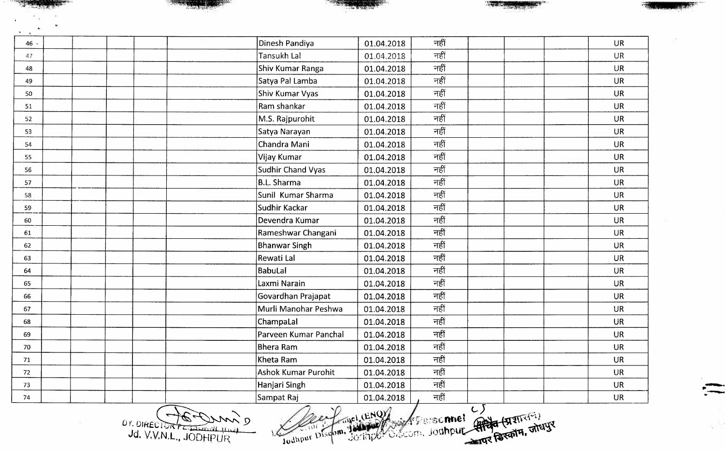| नहीं<br>नहीं<br>नहीं<br>नहीं<br>नहीं<br>नहीं<br>नहीं<br>नहीं<br>नहीं<br>नहीं<br>नहीं<br>नहीं<br>नहीं | <b>UR</b><br><b>UR</b><br><b>UR</b><br><b>UR</b><br><b>UR</b><br><b>UR</b><br><b>UR</b><br><b>UR</b><br><b>UR</b><br><b>UR</b><br><b>UR</b><br><b>UR</b> |
|------------------------------------------------------------------------------------------------------|----------------------------------------------------------------------------------------------------------------------------------------------------------|
|                                                                                                      |                                                                                                                                                          |
|                                                                                                      |                                                                                                                                                          |
|                                                                                                      |                                                                                                                                                          |
|                                                                                                      |                                                                                                                                                          |
|                                                                                                      |                                                                                                                                                          |
|                                                                                                      |                                                                                                                                                          |
|                                                                                                      |                                                                                                                                                          |
|                                                                                                      |                                                                                                                                                          |
|                                                                                                      |                                                                                                                                                          |
|                                                                                                      |                                                                                                                                                          |
|                                                                                                      |                                                                                                                                                          |
|                                                                                                      |                                                                                                                                                          |
|                                                                                                      | <b>UR</b>                                                                                                                                                |
| नहीं                                                                                                 | <b>UR</b>                                                                                                                                                |
| नहीं                                                                                                 | <b>UR</b>                                                                                                                                                |
| नहीं                                                                                                 | <b>UR</b>                                                                                                                                                |
| नहीं                                                                                                 | <b>UR</b>                                                                                                                                                |
| नहीं                                                                                                 | <b>UR</b>                                                                                                                                                |
| नहीं                                                                                                 | <b>UR</b>                                                                                                                                                |
| नहीं                                                                                                 | <b>UR</b>                                                                                                                                                |
| नहीं                                                                                                 | <b>UR</b>                                                                                                                                                |
| नहीं                                                                                                 | <b>UR</b>                                                                                                                                                |
|                                                                                                      | <b>UR</b>                                                                                                                                                |
|                                                                                                      | <b>UR</b>                                                                                                                                                |
|                                                                                                      | <b>UR</b>                                                                                                                                                |
|                                                                                                      | <b>UR</b>                                                                                                                                                |
|                                                                                                      | <b>UR</b>                                                                                                                                                |
|                                                                                                      | <b>UR</b>                                                                                                                                                |
|                                                                                                      | नहीं<br>नहीं<br>नहीं<br>नहीं<br>नहीं<br>नहीं<br>C)<br>Jodhpur Discom, Joseph Weight Scrimel<br>Joshph S. Com, Joshpur Ard ( HETHER)                      |

01.04.2018 , नहीं<br>Pret (ENOY), w. Fersc**nnel APS (प्रशासन)** 11 put (2007 Floridan Comput 21212 For

**;(Ji . 11 24£)!•' -** 

 $=$ 

 $\epsilon_{\rm c}^{-1}$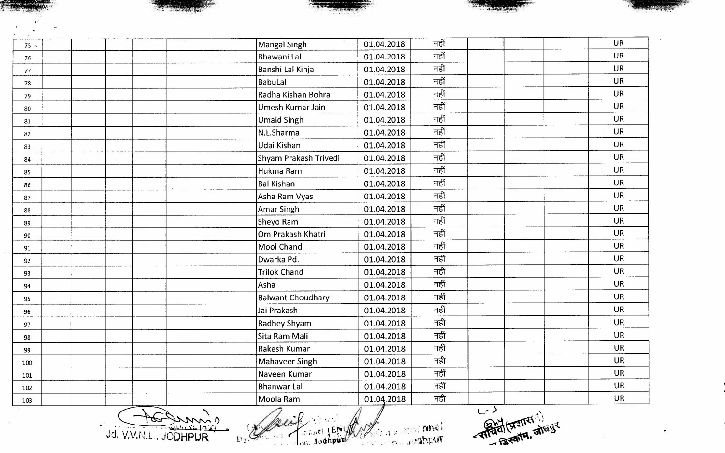| 75 . | Mangal Singh             | 01.04.2018 | नहीं | <b>UR</b> |
|------|--------------------------|------------|------|-----------|
| 76   | Bhawani Lal              | 01.04.2018 | नहीं | <b>UR</b> |
| 77   | Banshi Lal Kihja         | 01.04.2018 | नहीं | <b>UR</b> |
| 78   | BabuLal                  | 01.04.2018 | नहीं | <b>UR</b> |
| 79   | Radha Kishan Bohra       | 01.04.2018 | नहीं | <b>UR</b> |
| 80   | Umesh Kumar Jain         | 01.04.2018 | नहीं | <b>UR</b> |
| 81   | <b>Umaid Singh</b>       | 01.04.2018 | नहीं | <b>UR</b> |
| 82   | N.L.Sharma               | 01.04.2018 | नहीं | <b>UR</b> |
| 83   | Udai Kishan              | 01.04.2018 | नहीं | <b>UR</b> |
| 84   | Shyam Prakash Trivedi    | 01.04.2018 | नहीं | <b>UR</b> |
| 85   | Hukma Ram                | 01.04.2018 | नहीं | <b>UR</b> |
| 86   | <b>Bal Kishan</b>        | 01.04.2018 | नहीं | <b>UR</b> |
| 87   | Asha Ram Vyas            | 01.04.2018 | नहीं | <b>UR</b> |
| 88   | Amar Singh               | 01.04.2018 | नहीं | <b>UR</b> |
| 89   | Sheyo Ram                | 01.04.2018 | नहीं | <b>UR</b> |
| 90   | Om Prakash Khatri        | 01.04.2018 | नहीं | <b>UR</b> |
| 91   | Mool Chand               | 01.04.2018 | नहीं | <b>UR</b> |
| 92   | Dwarka Pd.               | 01.04.2018 | नहीं | <b>UR</b> |
| 93   | <b>Trilok Chand</b>      | 01.04.2018 | नहीं | <b>UR</b> |
| 94   | Asha                     | 01.04.2018 | नहीं | <b>UR</b> |
| 95   | <b>Balwant Choudhary</b> | 01.04.2018 | नहीं | <b>UR</b> |
| 96   | Jai Prakash              | 01.04.2018 | नहीं | <b>UR</b> |
| 97   | Radhey Shyam             | 01.04.2018 | नहीं | <b>UR</b> |
| 98   | Sita Ram Mali            | 01.04.2018 | नहीं | <b>UR</b> |
| 99   | Rakesh Kumar             | 01.04.2018 | नहीं | <b>UR</b> |
| 100  | Mahaveer Singh           | 01.04.2018 | नहीं | <b>UR</b> |
| 101  | Naveen Kumar             | 01.04.2018 | नहीं | <b>UR</b> |
| 102  | <b>Bhanwar Lal</b>       | 01.04.2018 | नहीं | <b>UR</b> |
| 103  | Moola Ram                | 01.04,2018 | नहीं | UR        |

Jd. V.V.N.L., JODHPUR

 $\sqrt{2 \cdot 2 \cdot 2 \cdot 1}$   $\sqrt{2 \cdot 2 \cdot 2 \cdot 1}$   $\sqrt{2 \cdot 2 \cdot 2 \cdot 1}$   $\sqrt{2 \cdot 2 \cdot 2 \cdot 1}$   $\sqrt{2 \cdot 2 \cdot 2 \cdot 1}$ El Carriel LEN Royal . . . . . . . . rme)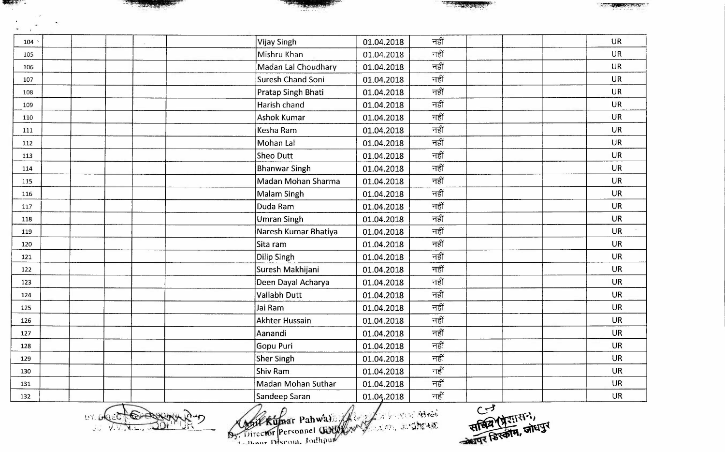| $\mathcal{O}(\mathcal{O}_\mathcal{O})$ |               |                                                                              |            |      |                        |           |
|----------------------------------------|---------------|------------------------------------------------------------------------------|------------|------|------------------------|-----------|
| 104                                    |               | Vijay Singh                                                                  | 01.04.2018 | नहीं |                        | <b>UR</b> |
| 105                                    |               | Mishru Khan                                                                  | 01.04.2018 | नहीं |                        | <b>UR</b> |
| 106                                    |               | Madan Lal Choudhary                                                          | 01.04.2018 | नहीं |                        | <b>UR</b> |
| 107                                    |               | <b>Suresh Chand Soni</b>                                                     | 01.04.2018 | नहीं |                        | <b>UR</b> |
| 108                                    |               | Pratap Singh Bhati                                                           | 01.04.2018 | नहीं |                        | <b>UR</b> |
| 109                                    |               | Harish chand                                                                 | 01.04.2018 | नहीं |                        | <b>UR</b> |
| 110                                    |               | <b>Ashok Kumar</b>                                                           | 01.04.2018 | नहीं |                        | <b>UR</b> |
| 111                                    |               | Kesha Ram                                                                    | 01.04.2018 | नहीं |                        | <b>UR</b> |
| 112                                    |               | Mohan Lal                                                                    | 01.04.2018 | नहीं |                        | <b>UR</b> |
| 113                                    |               | <b>Sheo Dutt</b>                                                             | 01.04.2018 | नहीं |                        | <b>UR</b> |
| 114                                    |               | <b>Bhanwar Singh</b>                                                         | 01.04.2018 | नहीं |                        | <b>UR</b> |
| 115                                    |               | Madan Mohan Sharma                                                           | 01.04.2018 | नहीं |                        | <b>UR</b> |
| 116                                    |               | Malam Singh                                                                  | 01.04.2018 | नहीं |                        | <b>UR</b> |
| 117                                    |               | Duda Ram                                                                     | 01.04.2018 | नहीं |                        | <b>UR</b> |
| 118                                    |               | <b>Umran Singh</b>                                                           | 01.04.2018 | नहीं |                        | <b>UR</b> |
| 119                                    |               | Naresh Kumar Bhatiya                                                         | 01.04.2018 | नहीं |                        | <b>UR</b> |
| 120                                    |               | Sita ram                                                                     | 01.04.2018 | नहीं |                        | <b>UR</b> |
| 121                                    |               | Dilip Singh                                                                  | 01.04.2018 | नहीं |                        | <b>UR</b> |
| 122                                    |               | Suresh Makhijani                                                             | 01.04.2018 | नहीं |                        | UR.       |
| 123                                    |               | Deen Dayal Acharya                                                           | 01.04.2018 | नहीं |                        | <b>UR</b> |
| 124                                    |               | <b>Vallabh Dutt</b>                                                          | 01.04.2018 | नहीं |                        | <b>UR</b> |
| 125                                    |               | Jai Ram                                                                      | 01.04.2018 | नहीं |                        | <b>UR</b> |
| 126                                    |               | <b>Akhter Hussain</b>                                                        | 01.04.2018 | नहीं |                        | <b>UR</b> |
| 127                                    |               | Aanandi                                                                      | 01.04.2018 | नहीं |                        | <b>UR</b> |
| 128                                    |               | Gopu Puri                                                                    | 01.04.2018 | नहीं |                        | <b>UR</b> |
| 129                                    |               | Sher Singh                                                                   | 01.04.2018 | नहीं |                        | <b>UR</b> |
| 130                                    |               | Shiv Ram                                                                     | 01.04.2018 | नहीं |                        | <b>UR</b> |
| 131                                    |               | Madan Mohan Suthar                                                           | 01.04.2018 | नहीं |                        | <b>UR</b> |
| 132                                    |               | Sandeep Saran                                                                | 01.04.2018 | नहीं |                        | <b>UR</b> |
|                                        | $\cup$ $\cup$ | A Construction Personnel Couplet of the service<br>1. thour Discour, Jodhpur |            |      | فحس<br>सचिव पूजा सन् , |           |

~~~,-.,. '7:\ **40-99MA** 

**The Committee** 

**THEFT.** 

. - · : .. · ; < ... '• ,, ,)• **:** -- **,** · **--**.:J**-'~**., **"'** j; . **",l** . **•** , **f**  ., Ihnur Discom, Jodhpur

*c\_,..-J ,~*  ,. ~~ ~

**SALE ALL**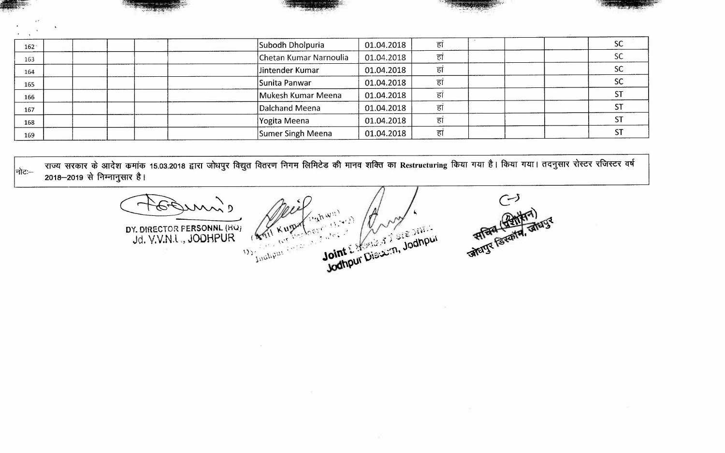| $162+$ | Subodh Dholpuria       | 01.04.2018 | हां |  |
|--------|------------------------|------------|-----|--|
| 163    | Chetan Kumar Narnoulia | 01.04.2018 | हां |  |
| 164    | Jintender Kumar        | 01.04.2018 | हां |  |
| 165    | Sunita Panwar          | 01.04.2018 | हां |  |
| 166    | Mukesh Kumar Meena     | 01.04.2018 | हां |  |
| 167    | Dalchand Meena         | 01.04.2018 | हां |  |
| 168    | Yogita Meena           | 01.04.2018 | हां |  |
| 169    | Sumer Singh Meena      | 01.04.2018 | हां |  |

 $|$ नोटः $-$ राज्य सरकार के आदेश कमांक 15.03.2018 द्वारा जोधपुर विद्युत वितरण निगम लिमिटेड की मानव शक्ति का Restructuring किया गया है। किया गया। तदनुसार रोस्टर रजिस्टर वर्ष 2018-2019 से निम्नानुसार है।

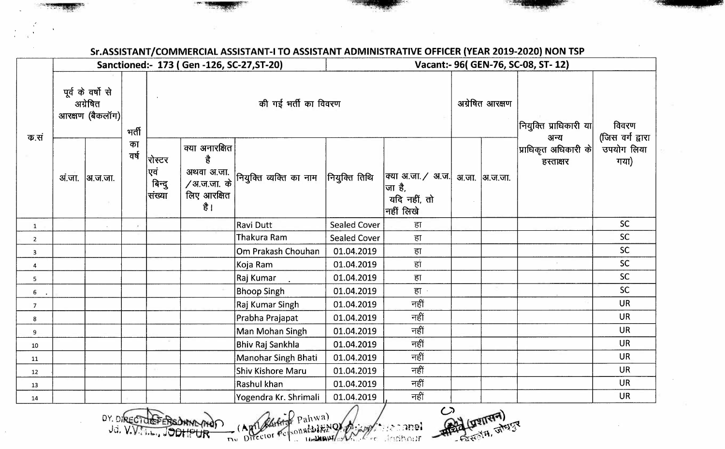|                         |        |                                                  |            |                                   | Sanctioned:- 173 (Gen -126, SC-27, ST-20)                 | זכר צוטאן (סוגעכאזין הוארונגנטא) וואז השטאריז הוא האטאריז הוא האטאוויזטאן וואז הוא האטא |                     |                                                           |                 | Vacant:- 96( GEN-76, SC-08, ST-12)             |                                        |
|-------------------------|--------|--------------------------------------------------|------------|-----------------------------------|-----------------------------------------------------------|-----------------------------------------------------------------------------------------|---------------------|-----------------------------------------------------------|-----------------|------------------------------------------------|----------------------------------------|
|                         |        | पूर्व के वर्षो से<br>अग्रेषित<br>आरक्षण (बैकलॉग) | भर्ती      |                                   |                                                           | की गई भर्ती का विवरण                                                                    |                     |                                                           | अग्रेषित आरक्षण | नियुक्ति प्राधिकारी या                         | विवरण                                  |
| क.सं                    | अं.जा. | अ.ज.जा.                                          | का<br>वर्ष | रोस्टर<br>एवं<br>बिन्दु<br>संख्या | क्या अनारक्षित<br>है<br>/अ.ज.जा. के<br>लिए आरक्षित<br>है। | अथवा अ.जा.  <br>— → नियुक्ति व्यक्ति का नाम                                             | नियुक्ति तिथि       | क्या अ.जा. / अ.ज. <br>जा है,<br>यदि नहीं, तो<br>नहीं लिखे | अ.जा.  अ.ज.जा.  | अन्य<br> प्राधिकृत अधिकारी के $ $<br>हस्ताक्षर | (जिस वर्ग द्वारा<br>उपयोग लिया<br>गया) |
| $\mathbf{1}$            |        |                                                  |            |                                   |                                                           | <b>Ravi Dutt</b>                                                                        | <b>Sealed Cover</b> | हा                                                        |                 |                                                | <b>SC</b>                              |
| $\overline{2}$          |        |                                                  |            |                                   |                                                           | Thakura Ram                                                                             | <b>Sealed Cover</b> | हा                                                        |                 |                                                | <b>SC</b>                              |
| $\overline{\mathbf{3}}$ |        |                                                  |            |                                   |                                                           | Om Prakash Chouhan                                                                      | 01.04.2019          | हा                                                        |                 |                                                | <b>SC</b>                              |
| $\overline{4}$          |        |                                                  |            |                                   |                                                           | Koja Ram                                                                                | 01.04.2019          | हां                                                       |                 |                                                | <b>SC</b>                              |
| 5 <sub>1</sub>          |        |                                                  |            |                                   |                                                           | Raj Kumar                                                                               | 01.04.2019          | हा                                                        |                 |                                                | <b>SC</b>                              |
| $6$ .                   |        |                                                  |            |                                   |                                                           | <b>Bhoop Singh</b>                                                                      | 01.04.2019          | हा                                                        |                 |                                                | <b>SC</b>                              |
| $\overline{7}$          |        |                                                  |            |                                   |                                                           | Raj Kumar Singh                                                                         | 01.04.2019          | नहीं                                                      |                 |                                                | <b>UR</b>                              |
| 8                       |        |                                                  |            |                                   |                                                           | Prabha Prajapat                                                                         | 01.04.2019          | नहीं                                                      |                 |                                                | <b>UR</b>                              |
| 9                       |        |                                                  |            |                                   |                                                           | Man Mohan Singh                                                                         | 01.04.2019          | नहीं                                                      |                 |                                                | <b>UR</b>                              |
| 10                      |        |                                                  |            |                                   |                                                           | <b>Bhiv Raj Sankhla</b>                                                                 | 01.04.2019          | नहीं                                                      |                 |                                                | <b>UR</b>                              |
| 11                      |        |                                                  |            |                                   |                                                           | Manohar Singh Bhati                                                                     | 01.04.2019          | नहीं                                                      |                 |                                                | <b>UR</b>                              |
| 12                      |        |                                                  |            |                                   |                                                           | Shiv Kishore Maru                                                                       | 01.04.2019          | नहीं                                                      |                 |                                                | <b>UR</b>                              |
| 13                      |        |                                                  |            |                                   |                                                           | Rashul khan                                                                             | 01.04.2019          | नहीं                                                      |                 |                                                | <b>UR</b>                              |
| 14                      |        |                                                  |            |                                   |                                                           | Yogendra Kr. Shrimali                                                                   | 01.04.2019          | नहीं                                                      |                 |                                                | <b>UR</b>                              |
|                         |        |                                                  |            | Jd. V.V.  JODHPUR                 | DY. DIRECTORSFERSOMME (MO)                                | $p_1(wa)$                                                                               |                     | $\mathcal{C}$<br><b>Record</b><br>Poshour                 | अभियासन)        |                                                |                                        |

## **Sr.ASSISTANT/COMMERCIAL ASSISTANT-I TO ASSISTANT ADMINISTRATIVE OFFICER (VEAR 2019-2020) NON TSP**

DY. DIRECTOR ERSOMMOND (ART Pahwa) (ART Pahwa) (ART Pahwa) (ART -:: ........

 $\tilde{\Omega}$ 

-~;.J **lJ#l.JQJ.I.. .)**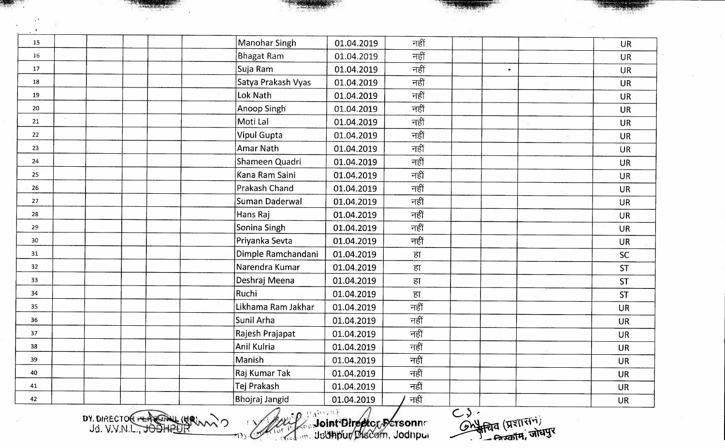| 15 | Manohar Singh      | 01.04.2019 | नहीं |                             | <b>UR</b> |
|----|--------------------|------------|------|-----------------------------|-----------|
| 16 | <b>Bhagat Ram</b>  | 01.04.2019 | नहीं |                             | <b>UR</b> |
| 17 | Suja Ram           | 01.04.2019 | नहीं | $\bullet$                   | <b>UR</b> |
| 18 | Satya Prakash Vyas | 01.04.2019 | नहीं |                             | <b>UR</b> |
| 19 | Lok Nath           | 01.04.2019 | नहीं |                             | <b>UR</b> |
| 20 | Anoop Singh        | 01.04.2019 | नहीं |                             | <b>UR</b> |
| 21 | Moti Lal           | 01.04.2019 | नहीं |                             | <b>UR</b> |
| 22 | <b>Vipul Gupta</b> | 01.04.2019 | नहीं |                             | <b>UR</b> |
| 23 | Amar Nath          | 01.04.2019 | नहीं |                             | <b>UR</b> |
| 24 | Shameen Quadri     | 01.04.2019 | नहीं |                             | <b>UR</b> |
| 25 | Kana Ram Saini     | 01.04.2019 | नहीं |                             | <b>UR</b> |
| 26 | Prakash Chand      | 01.04.2019 | नहीं |                             | <b>UR</b> |
| 27 | Suman Daderwal     | 01.04.2019 | नहीं |                             | <b>UR</b> |
| 28 | Hans Raj           | 01.04.2019 | नहीं |                             | <b>UR</b> |
| 29 | Sonina Singh       | 01.04.2019 | नहीं |                             | <b>UR</b> |
| 30 | Priyanka Sevta     | 01.04.2019 | नहीं |                             | <b>UR</b> |
| 31 | Dimple Ramchandani | 01.04.2019 | हा   |                             | <b>SC</b> |
| 32 | Narendra Kumar     | 01.04.2019 | हा   |                             | <b>ST</b> |
| 33 | Deshraj Meena      | 01.04.2019 | हा   |                             | <b>ST</b> |
| 34 | Ruchi              | 01.04.2019 | हा   |                             | <b>ST</b> |
| 35 | Likhama Ram Jakhar | 01.04.2019 | नहीं |                             | <b>UR</b> |
| 36 | Sunil Arha         | 01.04.2019 | नहीं |                             | <b>UR</b> |
| 37 | Rajesh Prajapat    | 01.04.2019 | नहीं |                             | <b>UR</b> |
| 38 | Anil Kulria        | 01.04.2019 | नहीं |                             | <b>UR</b> |
| 39 | Manish             | 01.04.2019 | नहीं |                             | <b>UR</b> |
| 40 | Raj Kumar Tak      | 01.04.2019 | नहीं |                             | <b>UR</b> |
| 41 | Tej Prakash        | 01.04.2019 | नहीं |                             | UR        |
| 42 | Bhojraj Jangid     | 01.04.2019 | नहीं | ८३ -<br>अर्थान्वत (प्रशासन) | UR        |

Jd. V.V.N.L.,  $\mathcal{P}$ 

 $\mathcal{S}^{\prime}$ 

 $\mathsf{Im}\,$  $\overline{\cap}$  ) . , • **!JolffiJ')Uri** Cl . , **Jodnpu.** 

 $\overline{\mathsf{C}}$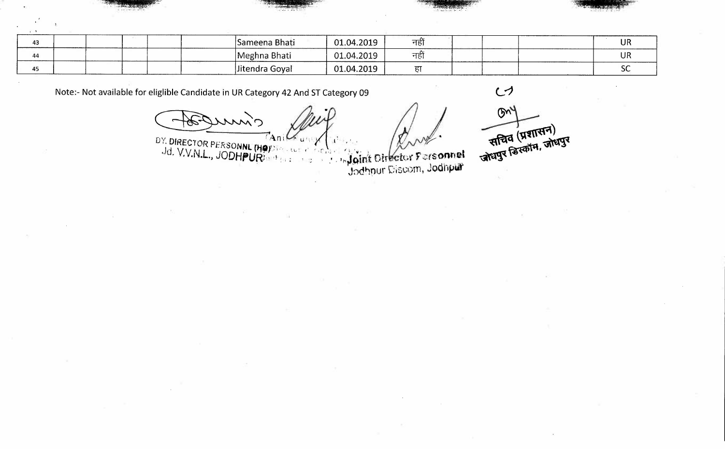| 43<br>_______                | ______<br>Sameena Bhati                    | .04.2019<br>01 | नहीं | <br>UR             |
|------------------------------|--------------------------------------------|----------------|------|--------------------|
| $\lambda$<br>_______________ | Meghna Bhati                               | L.04.2019      | नह,  | ________<br>UR.    |
| $\sim$<br>$\mu$ -            | Goval<br>litendra<br>--------------------- | 01.04.2019     |      | ~~<br>____________ |

Note:- Not available for eliglible Candidate in UR Category 42 And ST Category 09

DY. DIRECTOR PERSONNL (HOPERALLY

 $\mathcal{C}$  $Qn<sup>4</sup>$ सचिव (प्रशासन)<br>जोधपुर डिस्कॉम, जोधपुर

**1. In Joint Otrector Forsonnel**<br>Jodhnur Discom, Jodhpur  $\mathbf{I}$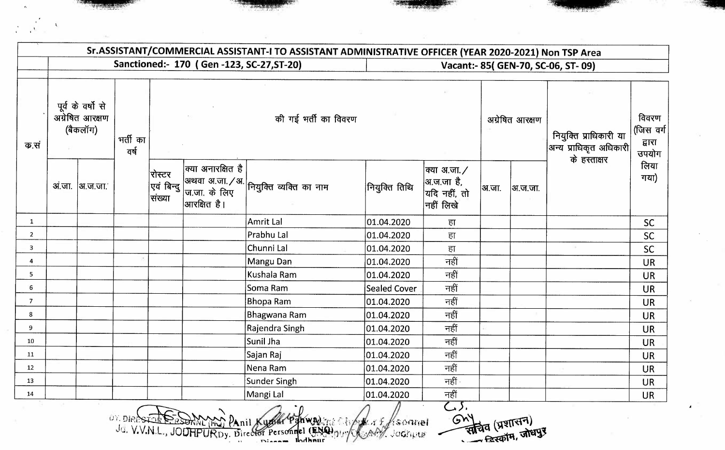|                |                                                  |                |                  |                                             | Sanctioned:- 170 (Gen-123, SC-27, ST-20)                                     |                  |                     |                                                          |       |                                                   | Vacant:- 85(GEN-70, SC-06, ST-09)      |              |
|----------------|--------------------------------------------------|----------------|------------------|---------------------------------------------|------------------------------------------------------------------------------|------------------|---------------------|----------------------------------------------------------|-------|---------------------------------------------------|----------------------------------------|--------------|
| क.सं           | पूर्व के वर्षो से<br>अग्रेषित आरक्षण<br>(बैकलॉग) |                | भर्ती का<br>वर्ष | की गई भर्ती का विवरण                        |                                                                              |                  |                     | अग्रेषित आरक्षण                                          |       | नियुक्ति प्राधिकारी या<br> अन्य प्राधिकृत अधिकारी | विवरण<br>(जिस वर्ग)<br>द्वारा<br>उपयोग |              |
|                |                                                  | अ.जा.  अ.ज.जा. |                  | रोस्टर<br>एवं बिन्दु <sup>।</sup><br>संख्या | $\left[$ क्या अनारक्षित है $\left[$<br>$ $ ज.जा. के लिए $\,$<br> आरक्षित है। |                  | नियुक्ति तिथि       | क्या अ.जा. /<br>∣अ.ज.जा है,<br>यदि नहीं, तो<br>नहीं लिखे | अ.जा. | अ.ज.जा.                                           | के हस्ताक्षर                           | लिया<br>गया) |
| $\mathbf{1}$   |                                                  |                |                  |                                             |                                                                              | Amrit Lal        | 01.04.2020          | हा                                                       |       |                                                   |                                        | SC           |
| $\overline{2}$ |                                                  |                |                  |                                             |                                                                              | Prabhu Lal       | 01.04.2020          | हा                                                       |       |                                                   |                                        | <b>SC</b>    |
| 3              |                                                  |                |                  |                                             |                                                                              | Chunni Lal       | 01.04.2020          | हा                                                       |       |                                                   |                                        | <b>SC</b>    |
| 4              |                                                  |                |                  |                                             |                                                                              | Mangu Dan        | 01.04.2020          | नहीं                                                     |       |                                                   |                                        | <b>UR</b>    |
| 5              |                                                  |                |                  |                                             |                                                                              | Kushala Ram      | 01.04.2020          | नहीं                                                     |       |                                                   |                                        | <b>UR</b>    |
| 6              |                                                  |                |                  |                                             |                                                                              | Soma Ram         | <b>Sealed Cover</b> | नहीं                                                     |       |                                                   |                                        | <b>UR</b>    |
| $7^{\circ}$    |                                                  |                |                  |                                             |                                                                              | <b>Bhopa Ram</b> | 01.04.2020          | नहीं                                                     |       |                                                   |                                        | <b>UR</b>    |
| 8              |                                                  |                |                  |                                             |                                                                              | Bhagwana Ram     | 01.04.2020          | नहीं                                                     |       |                                                   |                                        | <b>UR</b>    |
| 9              |                                                  |                |                  |                                             |                                                                              | Rajendra Singh   | 01.04.2020          | नहीं                                                     |       |                                                   |                                        | <b>UR</b>    |
| 10             |                                                  |                |                  |                                             |                                                                              | Sunil Jha        | 01.04.2020          | नहीं                                                     |       |                                                   |                                        | <b>UR</b>    |
| 11             |                                                  |                |                  |                                             |                                                                              | Sajan Raj        | 01.04.2020          | नहीं                                                     |       |                                                   |                                        | <b>UR</b>    |
| 12             |                                                  |                |                  |                                             |                                                                              | Nena Ram         | 01.04.2020          | नहीं                                                     |       |                                                   |                                        | <b>UR</b>    |
| 13             |                                                  |                |                  |                                             |                                                                              | Sunder Singh     | 01.04.2020          | नहीं                                                     |       |                                                   |                                        | <b>UR</b>    |
| 14             |                                                  |                |                  |                                             |                                                                              | Mangi Lal        | 01.04.2020          | नहीं                                                     |       |                                                   |                                        | <b>UR</b>    |

**. ':;JQQ**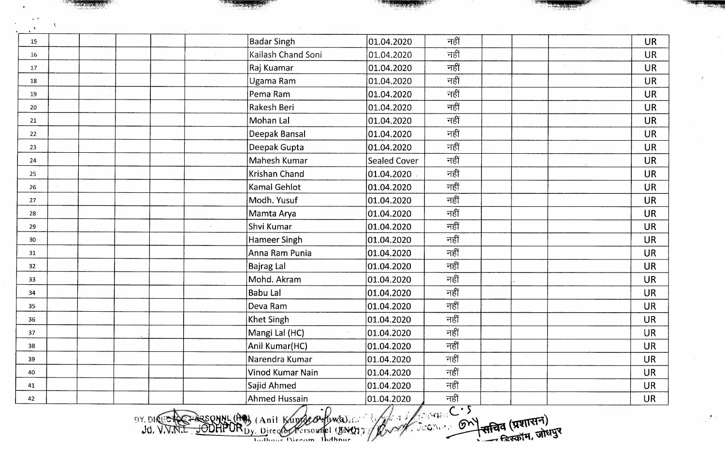| 15 | <b>Badar Singh</b> | 01.04.2020          | नहीं | <b>UR</b> |
|----|--------------------|---------------------|------|-----------|
| 16 | Kailash Chand Soni | 01.04.2020          | नहीं | <b>UR</b> |
| 17 | Raj Kuamar         | 01.04.2020          | नहीं | <b>UR</b> |
| 18 | Ugama Ram          | 01.04.2020          | नहीं | <b>UR</b> |
| 19 | Pema Ram           | 01.04.2020          | नहीं | <b>UR</b> |
| 20 | Rakesh Beri        | 01.04.2020          | नहीं | <b>UR</b> |
| 21 | Mohan Lal          | 01.04.2020          | नहीं | <b>UR</b> |
| 22 | Deepak Bansal      | 01.04.2020          | नहीं | <b>UR</b> |
| 23 | Deepak Gupta       | 01.04.2020          | नहीं | <b>UR</b> |
| 24 | Mahesh Kumar       | <b>Sealed Cover</b> | नहीं | <b>UR</b> |
| 25 | Krishan Chand      | 01.04.2020          | नहीं | <b>UR</b> |
| 26 | Kamal Gehlot       | 01.04.2020          | नहीं | <b>UR</b> |
| 27 | Modh. Yusuf        | 01.04.2020          | नहीं | <b>UR</b> |
| 28 | Mamta Arya         | 01.04.2020          | नहीं | <b>UR</b> |
| 29 | Shvi Kumar         | 01.04.2020          | नहीं | <b>UR</b> |
| 30 | Hameer Singh       | 01.04.2020          | नहीं | <b>UR</b> |
| 31 | Anna Ram Punia     | 01.04.2020          | नहीं | <b>UR</b> |
| 32 | <b>Bajrag Lal</b>  | 01.04.2020          | नहीं | <b>UR</b> |
| 33 | Mohd. Akram        | 01.04.2020          | नहीं | <b>UR</b> |
| 34 | <b>Babu Lal</b>    | 01.04.2020          | नहीं | <b>UR</b> |
| 35 | Deva Ram           | 01.04.2020          | नहीं | <b>UR</b> |
| 36 | Khet Singh         | 01.04.2020          | नहीं | <b>UR</b> |
| 37 | Mangi Lal (HC)     | 01.04.2020          | नहीं | <b>UR</b> |
| 38 | Anil Kumar(HC)     | 01.04.2020          | नहीं | <b>UR</b> |
| 39 | Narendra Kumar     | 01.04.2020          | नहीं | <b>UR</b> |
| 40 | Vinod Kumar Nain   | 01.04.2020          | नहीं | <b>UR</b> |
| 41 | Sajid Ahmed        | 01.04.2020          | नहीं | UR        |
| 42 | Ahmed Hussain      | 01.04.2020          | नहीं | <b>UR</b> |

 $\frac{1}{2}$ 161.04.2020<br>(Anil Kunggeorflwa) Mary 2020 C.S

' .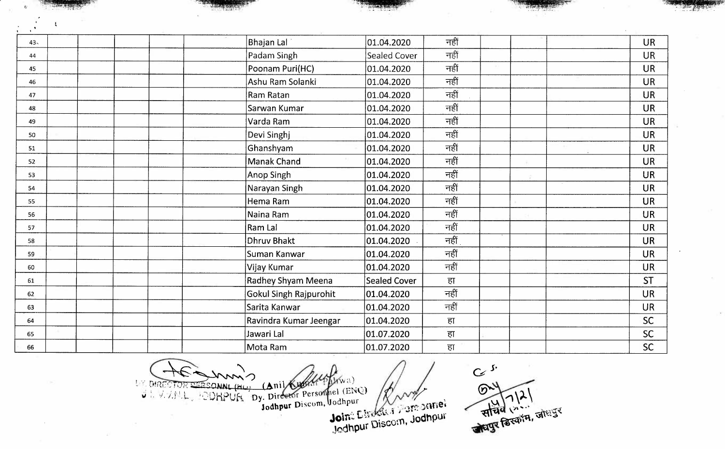| $\mathbf{r}$ |                        |                     |      |  |           |
|--------------|------------------------|---------------------|------|--|-----------|
| 43、          | Bhajan Lal             | 01.04.2020          | नहीं |  | <b>UR</b> |
| 44           | Padam Singh            | <b>Sealed Cover</b> | नहीं |  | <b>UR</b> |
| 45           | Poonam Puri(HC)        | 01.04.2020          | नहीं |  | <b>UR</b> |
| 46           | Ashu Ram Solanki       | 01.04.2020          | नहीं |  | <b>UR</b> |
| 47           | <b>Ram Ratan</b>       | 01.04.2020          | नहीं |  | <b>UR</b> |
| 48           | Sarwan Kumar           | 01.04.2020          | नहीं |  | <b>UR</b> |
| 49           | Varda Ram              | 01.04.2020          | नहीं |  | <b>UR</b> |
| 50           | Devi Singhj            | 01.04.2020          | नहीं |  | <b>UR</b> |
| 51           | Ghanshyam              | 01.04.2020          | नहीं |  | <b>UR</b> |
| 52           | <b>Manak Chand</b>     | 01.04.2020          | नहीं |  | <b>UR</b> |
| 53           | Anop Singh             | 01.04.2020          | नहीं |  | <b>UR</b> |
| 54           | Narayan Singh          | 01.04.2020          | नहीं |  | <b>UR</b> |
| 55           | Hema Ram               | 01.04.2020          | नहीं |  | <b>UR</b> |
| 56           | Naina Ram              | 01.04.2020          | नहीं |  | <b>UR</b> |
| 57           | Ram Lal                | 01.04.2020          | नहीं |  | <b>UR</b> |
| 58           | Dhruv Bhakt            | 01.04.2020          | नहीं |  | <b>UR</b> |
| 59           | Suman Kanwar           | 01.04.2020          | नहीं |  | <b>UR</b> |
| 60           | Vijay Kumar            | 01.04.2020          | नहीं |  | <b>UR</b> |
| 61           | Radhey Shyam Meena     | <b>Sealed Cover</b> | हा   |  | <b>ST</b> |
| 62           | Gokul Singh Rajpurohit | 01.04.2020          | नहीं |  | <b>UR</b> |
| 63           | Sarita Kanwar          | 01.04.2020          | नहीं |  | <b>UR</b> |
| 64           | Ravindra Kumar Jeengar | 01.04.2020          | हा   |  | <b>SC</b> |
| 65           | Jawari Lal             | 01.07.2020          | हा   |  | <b>SC</b> |
| 66           | Mota Ram               | 01.07.2020          | हा   |  | SC        |

J. W. W. W. W. W. CORPUS Dy. Director Personnel (ENC) **LE DIRECTOR** 

n, Vodhpur<br>Join: Elizabet 4 Joseph Street

सचिव (गरी)<br>सचिव (गरी) जोधपुर

 $C_{6}$  s.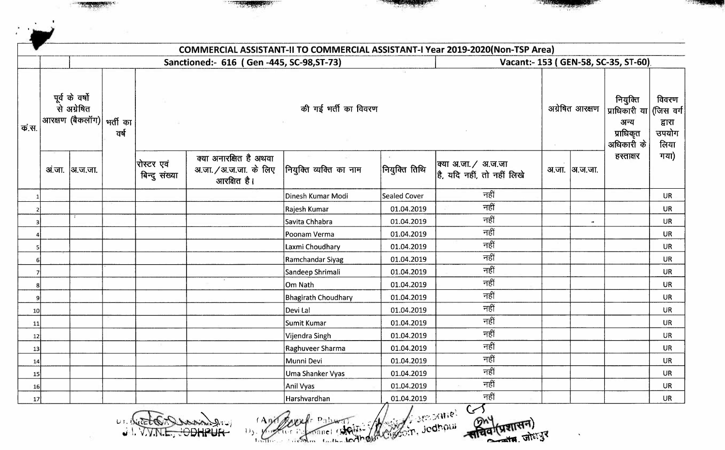|           |                               |                                          |                             |                                                                 |                                      |                          | COMMERCIAL ASSISTANT-II TO COMMERCIAL ASSISTANT-I Year 2019-2020(Non-TSP Area) |                 |                                                                                     |                                          |
|-----------|-------------------------------|------------------------------------------|-----------------------------|-----------------------------------------------------------------|--------------------------------------|--------------------------|--------------------------------------------------------------------------------|-----------------|-------------------------------------------------------------------------------------|------------------------------------------|
|           |                               |                                          |                             | Sanctioned:- 616 (Gen -445, SC-98, ST-73)                       | Vacant:- 153 (GEN-58, SC-35, ST-60). |                          |                                                                                |                 |                                                                                     |                                          |
| क स.      | पूर्व के वर्षो<br>से अग्रेषित | $ $ आरक्षण (बैकलॉग) $ $ भर्ती का<br>वर्ष | की गई भर्ती का विवरण        |                                                                 |                                      |                          |                                                                                | अग्रेषित आरक्षण | नियुक्ति<br>प्राधिकारी या (जिस वर्ग<br>अन्य<br>प्राधिकृत<br>अधिकारी के<br>हस्ताक्षर | विवरण<br>द्वारा<br>उपयोग<br>लिया<br>गया) |
|           | अं.जा.  अ.ज.जा.               |                                          | रोस्टर एवं<br>बिन्दु संख्या | क्या अनारक्षित है अथवा<br>अ.जा. / अ.ज.जा. के लिए<br>आरक्षित है। | नियुक्ति व्यक्ति का नाम              | नियुक्ति तिथि            | क्या अ.जा./ अ.ज.जा $\,$<br>है, यदि नहीं, तो नहीं लिखे                          | अ.जा.  अ.ज.जा.  |                                                                                     |                                          |
|           |                               |                                          |                             |                                                                 | Dinesh Kumar Modi                    | <b>Sealed Cover</b>      | नहीं                                                                           |                 |                                                                                     | <b>UR</b>                                |
|           |                               |                                          |                             |                                                                 | Rajesh Kumar                         | 01.04.2019               | नहीं                                                                           |                 |                                                                                     | <b>UR</b>                                |
|           |                               |                                          |                             |                                                                 | Savita Chhabra                       | 01.04.2019               | नहीं                                                                           | $\bullet$       |                                                                                     | <b>UR</b>                                |
|           |                               |                                          |                             |                                                                 | Poonam Verma                         | 01.04.2019               | नहीं                                                                           |                 |                                                                                     | <b>UR</b>                                |
|           |                               |                                          |                             |                                                                 | Laxmi Choudhary                      | 01.04.2019               | नहीं                                                                           |                 |                                                                                     | <b>UR</b>                                |
| 6         |                               |                                          |                             |                                                                 | Ramchandar Siyag                     | 01.04.2019               | नहीं                                                                           |                 |                                                                                     | <b>UR</b>                                |
| 7         |                               |                                          |                             |                                                                 | Sandeep Shrimali                     | 01.04.2019               | नहीं                                                                           |                 |                                                                                     | UR                                       |
| 8         |                               |                                          |                             |                                                                 | Om Nath                              | 01.04.2019               | नहीं                                                                           |                 |                                                                                     | <b>UR</b>                                |
| 9         |                               |                                          |                             |                                                                 | Bhagirath Choudhary                  | 01.04.2019               | नहीं                                                                           |                 |                                                                                     | UR                                       |
| 10        |                               |                                          |                             |                                                                 | Devi Lal                             | 01.04.2019               | नहीं                                                                           |                 |                                                                                     | UR                                       |
| 11        |                               |                                          |                             |                                                                 | Sumit Kumar                          | 01.04.2019               | नहीं                                                                           |                 |                                                                                     | <b>UR</b>                                |
| 12        |                               |                                          |                             |                                                                 | Vijendra Singh                       | 01.04.2019               | नहीं<br>नहीं                                                                   |                 |                                                                                     | UR                                       |
| 13        |                               |                                          |                             |                                                                 | Raghuveer Sharma                     | 01.04.2019               | नहीं                                                                           |                 |                                                                                     | <b>UR</b>                                |
| 14        |                               |                                          |                             |                                                                 | Munni Devi                           | 01.04.2019               | नहीं                                                                           |                 |                                                                                     | <b>UR</b>                                |
| 15        |                               |                                          |                             |                                                                 | Uma Shanker Vyas                     | 01.04.2019               | नहीं                                                                           |                 |                                                                                     | <b>UR</b>                                |
| 16<br> 17 |                               |                                          |                             |                                                                 | Anil Vyas<br>Harshvardhan            | 01.04.2019<br>01.04.2019 | नहीं                                                                           |                 |                                                                                     | UR<br><b>UR</b>                          |

 $L_{\text{eff}}$ 

Eté Duan Dry (An Pourle Point March sodine) 1 THE COMPUT ", And we find the motor of the second

वैवर्णप्रशासन)<br>वैवर्णप्रज्ञान, जोधपुर